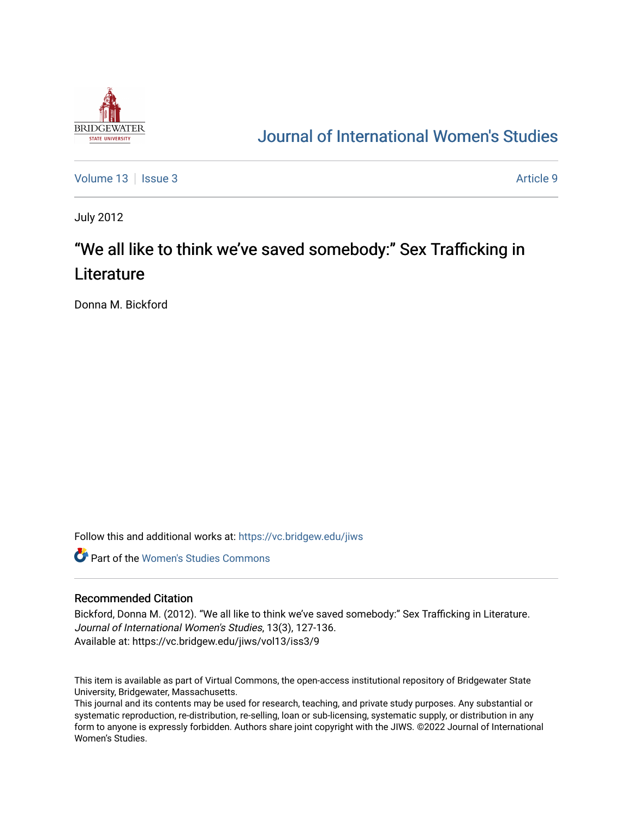

# [Journal of International Women's Studies](https://vc.bridgew.edu/jiws)

[Volume 13](https://vc.bridgew.edu/jiws/vol13) | [Issue 3](https://vc.bridgew.edu/jiws/vol13/iss3) Article 9

July 2012

# "We all like to think we've saved somebody:" Sex Trafficking in **Literature**

Donna M. Bickford

Follow this and additional works at: [https://vc.bridgew.edu/jiws](https://vc.bridgew.edu/jiws?utm_source=vc.bridgew.edu%2Fjiws%2Fvol13%2Fiss3%2F9&utm_medium=PDF&utm_campaign=PDFCoverPages)

**C** Part of the Women's Studies Commons

#### Recommended Citation

Bickford, Donna M. (2012). "We all like to think we've saved somebody:" Sex Trafficking in Literature. Journal of International Women's Studies, 13(3), 127-136. Available at: https://vc.bridgew.edu/jiws/vol13/iss3/9

This item is available as part of Virtual Commons, the open-access institutional repository of Bridgewater State University, Bridgewater, Massachusetts.

This journal and its contents may be used for research, teaching, and private study purposes. Any substantial or systematic reproduction, re-distribution, re-selling, loan or sub-licensing, systematic supply, or distribution in any form to anyone is expressly forbidden. Authors share joint copyright with the JIWS. ©2022 Journal of International Women's Studies.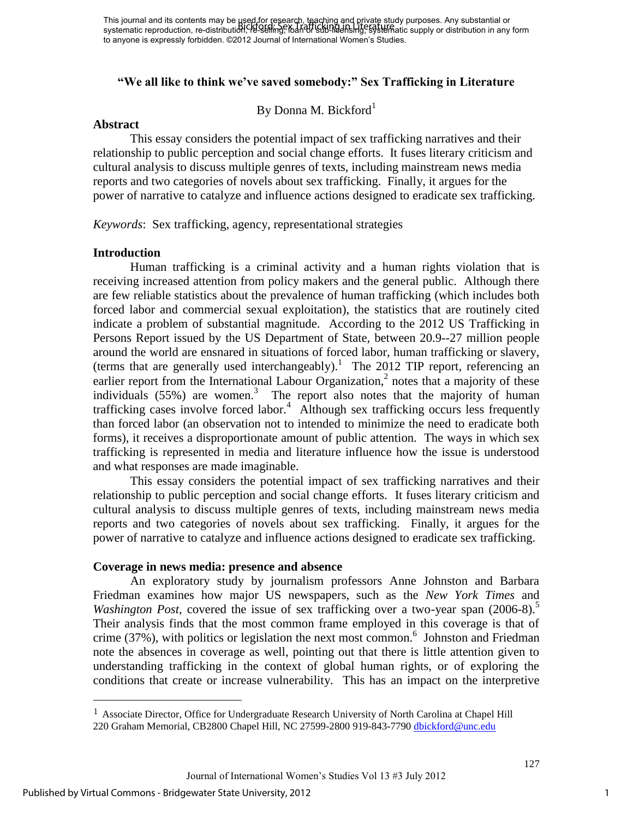### **"We all like to think we've saved somebody:" Sex Trafficking in Literature**

By Donna M. Bickford<sup>1</sup>

#### **Abstract**

This essay considers the potential impact of sex trafficking narratives and their relationship to public perception and social change efforts. It fuses literary criticism and cultural analysis to discuss multiple genres of texts, including mainstream news media reports and two categories of novels about sex trafficking. Finally, it argues for the power of narrative to catalyze and influence actions designed to eradicate sex trafficking.

*Keywords*: Sex trafficking, agency, representational strategies

#### **Introduction**

Human trafficking is a criminal activity and a human rights violation that is receiving increased attention from policy makers and the general public. Although there are few reliable statistics about the prevalence of human trafficking (which includes both forced labor and commercial sexual exploitation), the statistics that are routinely cited indicate a problem of substantial magnitude. According to the 2012 US Trafficking in Persons Report issued by the US Department of State, between 20.9--27 million people around the world are ensnared in situations of forced labor, human trafficking or slavery, (terms that are generally used interchangeably).<sup>1</sup> The 2012 TIP report, referencing an earlier report from the International Labour Organization,<sup>2</sup> notes that a majority of these individuals  $(55%)$  are women.<sup>3</sup> The report also notes that the majority of human trafficking cases involve forced labor.<sup>4</sup> Although sex trafficking occurs less frequently than forced labor (an observation not to intended to minimize the need to eradicate both forms), it receives a disproportionate amount of public attention. The ways in which sex trafficking is represented in media and literature influence how the issue is understood and what responses are made imaginable.

This essay considers the potential impact of sex trafficking narratives and their relationship to public perception and social change efforts. It fuses literary criticism and cultural analysis to discuss multiple genres of texts, including mainstream news media reports and two categories of novels about sex trafficking. Finally, it argues for the power of narrative to catalyze and influence actions designed to eradicate sex trafficking.

#### **Coverage in news media: presence and absence**

 An exploratory study by journalism professors Anne Johnston and Barbara Friedman examines how major US newspapers, such as the *New York Times* and *Washington Post*, covered the issue of sex trafficking over a two-year span (2006-8).<sup>5</sup> Their analysis finds that the most common frame employed in this coverage is that of crime  $(37\%)$ , with politics or legislation the next most common.<sup>6</sup> Johnston and Friedman note the absences in coverage as well, pointing out that there is little attention given to understanding trafficking in the context of global human rights, or of exploring the conditions that create or increase vulnerability. This has an impact on the interpretive

 $\overline{a}$ 

<sup>1</sup> Associate Director, Office for Undergraduate Research University of North Carolina at Chapel Hill 220 Graham Memorial, CB2800 Chapel Hill, NC 27599-2800 919-843-7790 [dbickford@unc.edu](https://outlook.unc.edu/owa/redir.aspx?C=ZPh_6Lf74EekWbZ4rkWjrJmguxV-Nc8I8ozrTRTE7L1hjeE1FtrDAvEVn-vpf_vCr-MgS0AkcZ0.&URL=mailto%3adbickford%40unc.edu)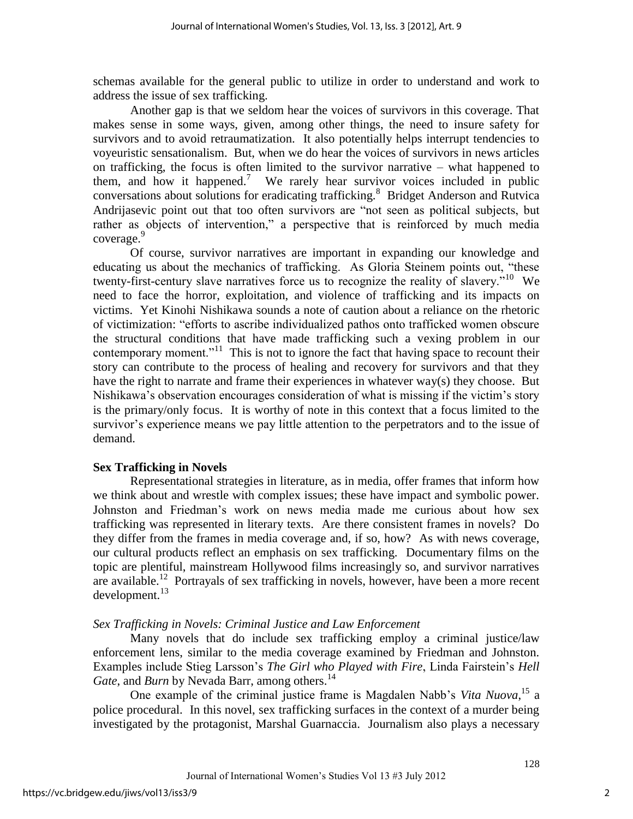schemas available for the general public to utilize in order to understand and work to address the issue of sex trafficking.

 Another gap is that we seldom hear the voices of survivors in this coverage. That makes sense in some ways, given, among other things, the need to insure safety for survivors and to avoid retraumatization. It also potentially helps interrupt tendencies to voyeuristic sensationalism. But, when we do hear the voices of survivors in news articles on trafficking, the focus is often limited to the survivor narrative – what happened to them, and how it happened.<sup>7</sup> We rarely hear survivor voices included in public conversations about solutions for eradicating trafficking.<sup>8</sup> Bridget Anderson and Rutvica Andrijasevic point out that too often survivors are "not seen as political subjects, but rather as objects of intervention," a perspective that is reinforced by much media coverage.<sup>9</sup>

 Of course, survivor narratives are important in expanding our knowledge and educating us about the mechanics of trafficking. As Gloria Steinem points out, "these twenty-first-century slave narratives force us to recognize the reality of slavery."<sup>10</sup> We need to face the horror, exploitation, and violence of trafficking and its impacts on victims. Yet Kinohi Nishikawa sounds a note of caution about a reliance on the rhetoric of victimization: "efforts to ascribe individualized pathos onto trafficked women obscure the structural conditions that have made trafficking such a vexing problem in our contemporary moment."<sup>11</sup> This is not to ignore the fact that having space to recount their story can contribute to the process of healing and recovery for survivors and that they have the right to narrate and frame their experiences in whatever way(s) they choose. But Nishikawa's observation encourages consideration of what is missing if the victim's story is the primary/only focus. It is worthy of note in this context that a focus limited to the survivor's experience means we pay little attention to the perpetrators and to the issue of demand.

# **Sex Trafficking in Novels**

 Representational strategies in literature, as in media, offer frames that inform how we think about and wrestle with complex issues; these have impact and symbolic power. Johnston and Friedman's work on news media made me curious about how sex trafficking was represented in literary texts. Are there consistent frames in novels? Do they differ from the frames in media coverage and, if so, how? As with news coverage, our cultural products reflect an emphasis on sex trafficking. Documentary films on the topic are plentiful, mainstream Hollywood films increasingly so, and survivor narratives are available.<sup>12</sup> Portrayals of sex trafficking in novels, however, have been a more recent  $develoment.<sup>13</sup>$ 

# *Sex Trafficking in Novels: Criminal Justice and Law Enforcement*

 Many novels that do include sex trafficking employ a criminal justice/law enforcement lens, similar to the media coverage examined by Friedman and Johnston. Examples include Stieg Larsson's *The Girl who Played with Fire*, Linda Fairstein's *Hell Gate*, and *Burn* by Nevada Barr, among others.<sup>14</sup>

 One example of the criminal justice frame is Magdalen Nabb's *Vita Nuova*, <sup>15</sup> a police procedural. In this novel, sex trafficking surfaces in the context of a murder being investigated by the protagonist, Marshal Guarnaccia. Journalism also plays a necessary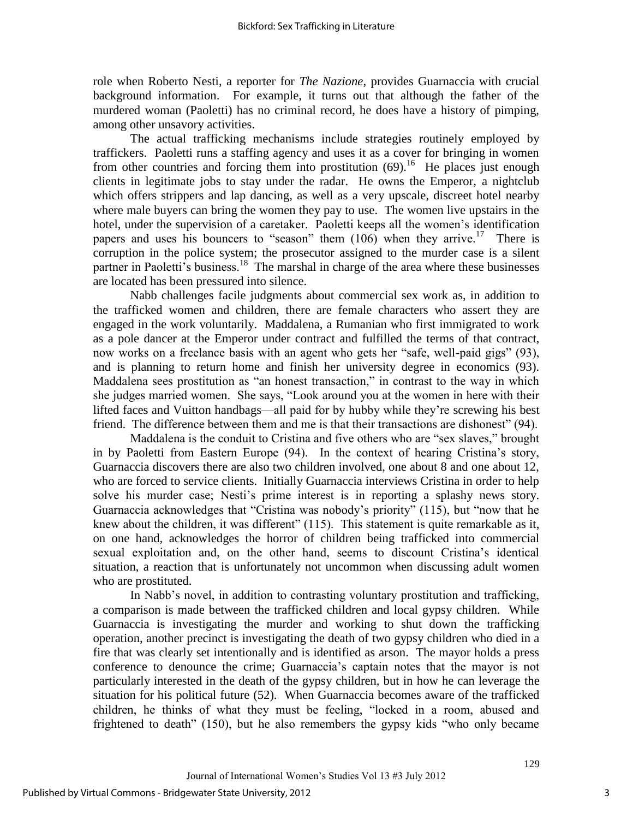role when Roberto Nesti, a reporter for *The Nazione*, provides Guarnaccia with crucial background information. For example, it turns out that although the father of the murdered woman (Paoletti) has no criminal record, he does have a history of pimping, among other unsavory activities.

 The actual trafficking mechanisms include strategies routinely employed by traffickers. Paoletti runs a staffing agency and uses it as a cover for bringing in women from other countries and forcing them into prostitution  $(69)$ .<sup>16</sup> He places just enough clients in legitimate jobs to stay under the radar. He owns the Emperor, a nightclub which offers strippers and lap dancing, as well as a very upscale, discreet hotel nearby where male buyers can bring the women they pay to use. The women live upstairs in the hotel, under the supervision of a caretaker. Paoletti keeps all the women's identification papers and uses his bouncers to "season" them  $(106)$  when they arrive.<sup>17</sup> There is corruption in the police system; the prosecutor assigned to the murder case is a silent partner in Paoletti's business.<sup>18</sup> The marshal in charge of the area where these businesses are located has been pressured into silence.

 Nabb challenges facile judgments about commercial sex work as, in addition to the trafficked women and children, there are female characters who assert they are engaged in the work voluntarily. Maddalena, a Rumanian who first immigrated to work as a pole dancer at the Emperor under contract and fulfilled the terms of that contract, now works on a freelance basis with an agent who gets her "safe, well-paid gigs" (93), and is planning to return home and finish her university degree in economics (93). Maddalena sees prostitution as "an honest transaction," in contrast to the way in which she judges married women. She says, "Look around you at the women in here with their lifted faces and Vuitton handbags—all paid for by hubby while they're screwing his best friend. The difference between them and me is that their transactions are dishonest"  $(94)$ .

Maddalena is the conduit to Cristina and five others who are "sex slaves," brought in by Paoletti from Eastern Europe (94). In the context of hearing Cristina's story, Guarnaccia discovers there are also two children involved, one about 8 and one about 12, who are forced to service clients. Initially Guarnaccia interviews Cristina in order to help solve his murder case; Nesti's prime interest is in reporting a splashy news story. Guarnaccia acknowledges that "Cristina was nobody's priority" (115), but "now that he knew about the children, it was different"  $(115)$ . This statement is quite remarkable as it, on one hand, acknowledges the horror of children being trafficked into commercial sexual exploitation and, on the other hand, seems to discount Cristina's identical situation, a reaction that is unfortunately not uncommon when discussing adult women who are prostituted.

In Nabb's novel, in addition to contrasting voluntary prostitution and trafficking, a comparison is made between the trafficked children and local gypsy children. While Guarnaccia is investigating the murder and working to shut down the trafficking operation, another precinct is investigating the death of two gypsy children who died in a fire that was clearly set intentionally and is identified as arson. The mayor holds a press conference to denounce the crime; Guarnaccia's captain notes that the mayor is not particularly interested in the death of the gypsy children, but in how he can leverage the situation for his political future (52). When Guarnaccia becomes aware of the trafficked children, he thinks of what they must be feeling, "locked in a room, abused and frightened to death" (150), but he also remembers the gypsy kids "who only became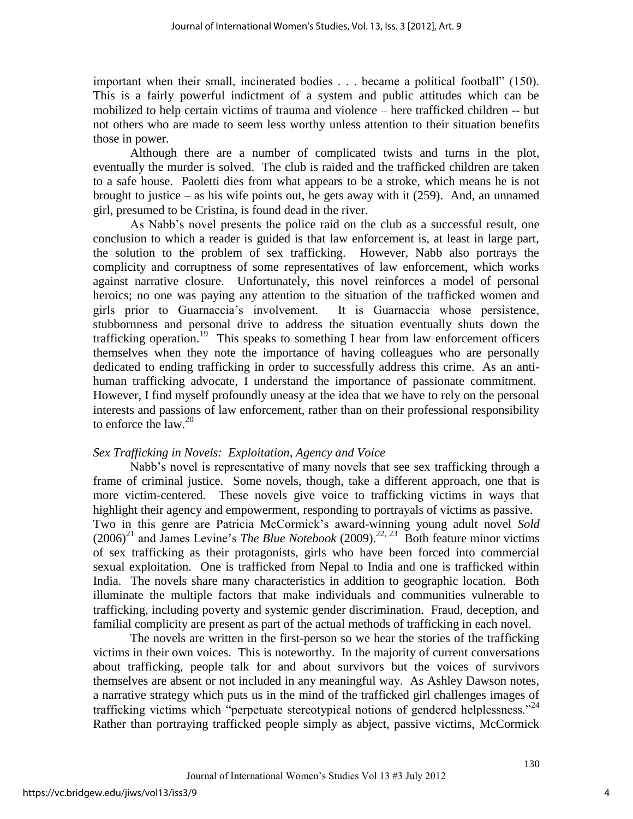important when their small, incinerated bodies . . . became a political football" (150). This is a fairly powerful indictment of a system and public attitudes which can be mobilized to help certain victims of trauma and violence – here trafficked children -- but not others who are made to seem less worthy unless attention to their situation benefits those in power.

 Although there are a number of complicated twists and turns in the plot, eventually the murder is solved. The club is raided and the trafficked children are taken to a safe house. Paoletti dies from what appears to be a stroke, which means he is not brought to justice – as his wife points out, he gets away with it  $(259)$ . And, an unnamed girl, presumed to be Cristina, is found dead in the river.

As Nabb's novel presents the police raid on the club as a successful result, one conclusion to which a reader is guided is that law enforcement is, at least in large part, the solution to the problem of sex trafficking. However, Nabb also portrays the complicity and corruptness of some representatives of law enforcement, which works against narrative closure. Unfortunately, this novel reinforces a model of personal heroics; no one was paying any attention to the situation of the trafficked women and girls prior to Guarnaccia's involvement. It is Guarnaccia whose persistence, stubbornness and personal drive to address the situation eventually shuts down the trafficking operation.<sup>19</sup> This speaks to something I hear from law enforcement officers themselves when they note the importance of having colleagues who are personally dedicated to ending trafficking in order to successfully address this crime. As an antihuman trafficking advocate, I understand the importance of passionate commitment. However, I find myself profoundly uneasy at the idea that we have to rely on the personal interests and passions of law enforcement, rather than on their professional responsibility to enforce the law.<sup>20</sup>

#### *Sex Trafficking in Novels: Exploitation, Agency and Voice*

Nabb's novel is representative of many novels that see sex trafficking through a frame of criminal justice. Some novels, though, take a different approach, one that is more victim-centered. These novels give voice to trafficking victims in ways that highlight their agency and empowerment, responding to portrayals of victims as passive. Two in this genre are Patricia McCormick's award-winning young adult novel *Sold*  $(2006)^{21}$  and James Levine's *The Blue Notebook* (2009).<sup>22, 23</sup> Both feature minor victims of sex trafficking as their protagonists, girls who have been forced into commercial sexual exploitation. One is trafficked from Nepal to India and one is trafficked within India. The novels share many characteristics in addition to geographic location. Both illuminate the multiple factors that make individuals and communities vulnerable to trafficking, including poverty and systemic gender discrimination. Fraud, deception, and familial complicity are present as part of the actual methods of trafficking in each novel.

 The novels are written in the first-person so we hear the stories of the trafficking victims in their own voices. This is noteworthy. In the majority of current conversations about trafficking, people talk for and about survivors but the voices of survivors themselves are absent or not included in any meaningful way. As Ashley Dawson notes, a narrative strategy which puts us in the mind of the trafficked girl challenges images of trafficking victims which "perpetuate stereotypical notions of gendered helplessness."<sup>24</sup> Rather than portraying trafficked people simply as abject, passive victims, McCormick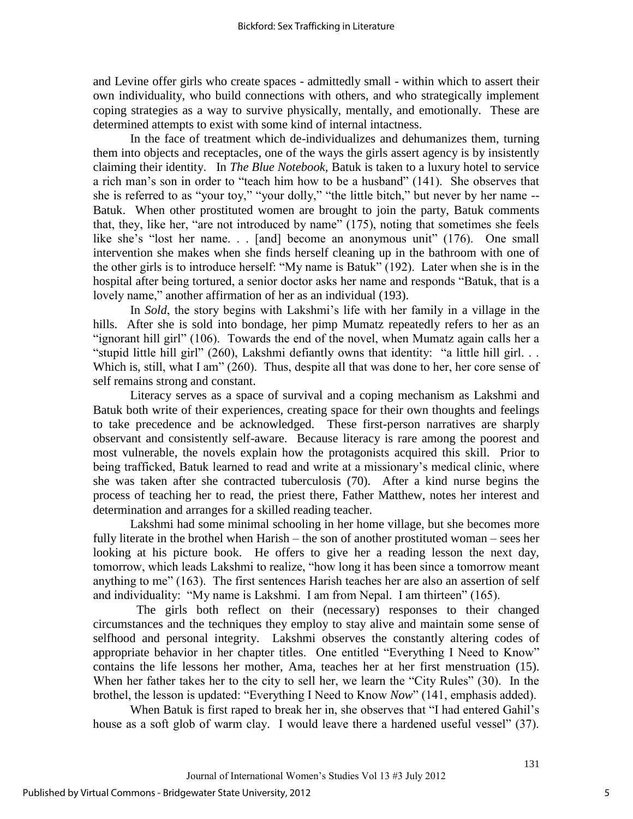and Levine offer girls who create spaces - admittedly small - within which to assert their own individuality, who build connections with others, and who strategically implement coping strategies as a way to survive physically, mentally, and emotionally. These are determined attempts to exist with some kind of internal intactness.

 In the face of treatment which de-individualizes and dehumanizes them, turning them into objects and receptacles, one of the ways the girls assert agency is by insistently claiming their identity. In *The Blue Notebook,* Batuk is taken to a luxury hotel to service a rich man's son in order to "teach him how to be a husband" (141). She observes that she is referred to as "your toy," "your dolly," "the little bitch," but never by her name --Batuk. When other prostituted women are brought to join the party, Batuk comments that, they, like her, "are not introduced by name"  $(175)$ , noting that sometimes she feels like she's "lost her name... [and] become an anonymous unit"  $(176)$ . One small intervention she makes when she finds herself cleaning up in the bathroom with one of the other girls is to introduce herself: "My name is Batuk" (192). Later when she is in the hospital after being tortured, a senior doctor asks her name and responds "Batuk, that is a lovely name," another affirmation of her as an individual (193).

 In *Sold*, the story begins with Lakshmi's life with her family in a village in the hills. After she is sold into bondage, her pimp Mumatz repeatedly refers to her as an "ignorant hill girl" (106). Towards the end of the novel, when Mumatz again calls her a "stupid little hill girl" (260), Lakshmi defiantly owns that identity: "a little hill girl. . . Which is, still, what I am"  $(260)$ . Thus, despite all that was done to her, her core sense of self remains strong and constant.

 Literacy serves as a space of survival and a coping mechanism as Lakshmi and Batuk both write of their experiences, creating space for their own thoughts and feelings to take precedence and be acknowledged. These first-person narratives are sharply observant and consistently self-aware. Because literacy is rare among the poorest and most vulnerable, the novels explain how the protagonists acquired this skill. Prior to being trafficked, Batuk learned to read and write at a missionary's medical clinic, where she was taken after she contracted tuberculosis (70). After a kind nurse begins the process of teaching her to read, the priest there, Father Matthew, notes her interest and determination and arranges for a skilled reading teacher.

 Lakshmi had some minimal schooling in her home village, but she becomes more fully literate in the brothel when Harish – the son of another prostituted woman – sees her looking at his picture book. He offers to give her a reading lesson the next day, tomorrow, which leads Lakshmi to realize, "how long it has been since a tomorrow meant anything to me" (163). The first sentences Harish teaches her are also an assertion of self and individuality: "My name is Lakshmi. I am from Nepal. I am thirteen" (165).

 The girls both reflect on their (necessary) responses to their changed circumstances and the techniques they employ to stay alive and maintain some sense of selfhood and personal integrity. Lakshmi observes the constantly altering codes of appropriate behavior in her chapter titles. One entitled "Everything I Need to Know" contains the life lessons her mother, Ama, teaches her at her first menstruation (15). When her father takes her to the city to sell her, we learn the "City Rules" (30). In the brothel, the lesson is updated: "Everything I Need to Know *Now*" (141, emphasis added).

When Batuk is first raped to break her in, she observes that "I had entered Gahil's house as a soft glob of warm clay. I would leave there a hardened useful vessel" (37).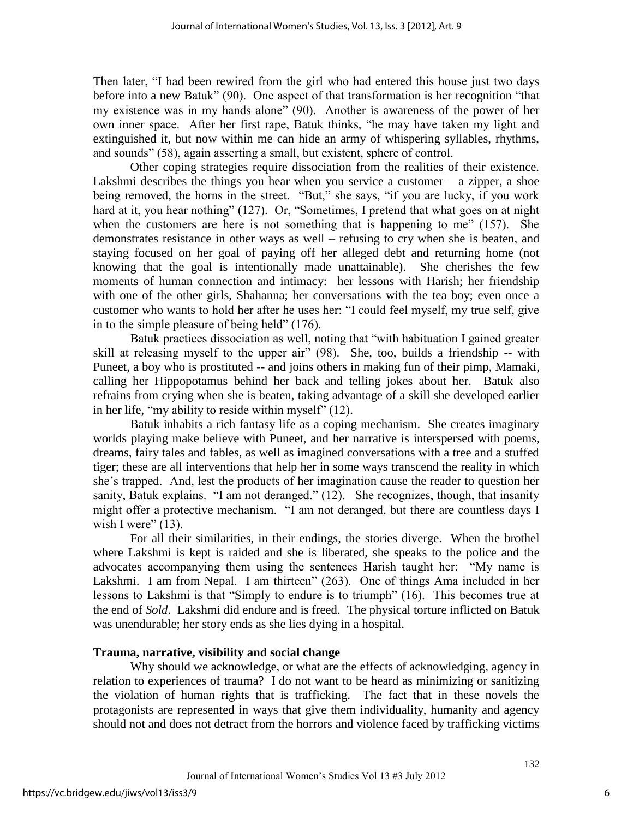Then later, "I had been rewired from the girl who had entered this house just two days before into a new Batuk" (90). One aspect of that transformation is her recognition "that my existence was in my hands alone" (90). Another is awareness of the power of her own inner space. After her first rape, Batuk thinks, "he may have taken my light and extinguished it, but now within me can hide an army of whispering syllables, rhythms, and sounds" (58), again asserting a small, but existent, sphere of control.

 Other coping strategies require dissociation from the realities of their existence. Lakshmi describes the things you hear when you service a customer  $-$  a zipper, a shoe being removed, the horns in the street. "But," she says, "if you are lucky, if you work hard at it, you hear nothing" (127). Or, "Sometimes, I pretend that what goes on at night when the customers are here is not something that is happening to me"  $(157)$ . She demonstrates resistance in other ways as well – refusing to cry when she is beaten, and staying focused on her goal of paying off her alleged debt and returning home (not knowing that the goal is intentionally made unattainable). She cherishes the few moments of human connection and intimacy: her lessons with Harish; her friendship with one of the other girls, Shahanna; her conversations with the tea boy; even once a customer who wants to hold her after he uses her: "I could feel myself, my true self, give in to the simple pleasure of being held"  $(176)$ .

Batuk practices dissociation as well, noting that "with habituation I gained greater skill at releasing myself to the upper air"  $(98)$ . She, too, builds a friendship -- with Puneet, a boy who is prostituted -- and joins others in making fun of their pimp, Mamaki, calling her Hippopotamus behind her back and telling jokes about her. Batuk also refrains from crying when she is beaten, taking advantage of a skill she developed earlier in her life, "my ability to reside within myself"  $(12)$ .

Batuk inhabits a rich fantasy life as a coping mechanism. She creates imaginary worlds playing make believe with Puneet, and her narrative is interspersed with poems, dreams, fairy tales and fables, as well as imagined conversations with a tree and a stuffed tiger; these are all interventions that help her in some ways transcend the reality in which she's trapped. And, lest the products of her imagination cause the reader to question her sanity, Batuk explains.  $\lq$  am not deranged." (12). She recognizes, though, that insanity might offer a protective mechanism. "I am not deranged, but there are countless days I wish I were"  $(13)$ .

 For all their similarities, in their endings, the stories diverge. When the brothel where Lakshmi is kept is raided and she is liberated, she speaks to the police and the advocates accompanying them using the sentences Harish taught her: "My name is Lakshmi. I am from Nepal. I am thirteen" (263). One of things Ama included in her lessons to Lakshmi is that "Simply to endure is to triumph" (16). This becomes true at the end of *Sold*. Lakshmi did endure and is freed. The physical torture inflicted on Batuk was unendurable; her story ends as she lies dying in a hospital.

# **Trauma, narrative, visibility and social change**

Why should we acknowledge, or what are the effects of acknowledging, agency in relation to experiences of trauma? I do not want to be heard as minimizing or sanitizing the violation of human rights that is trafficking. The fact that in these novels the protagonists are represented in ways that give them individuality, humanity and agency should not and does not detract from the horrors and violence faced by trafficking victims

132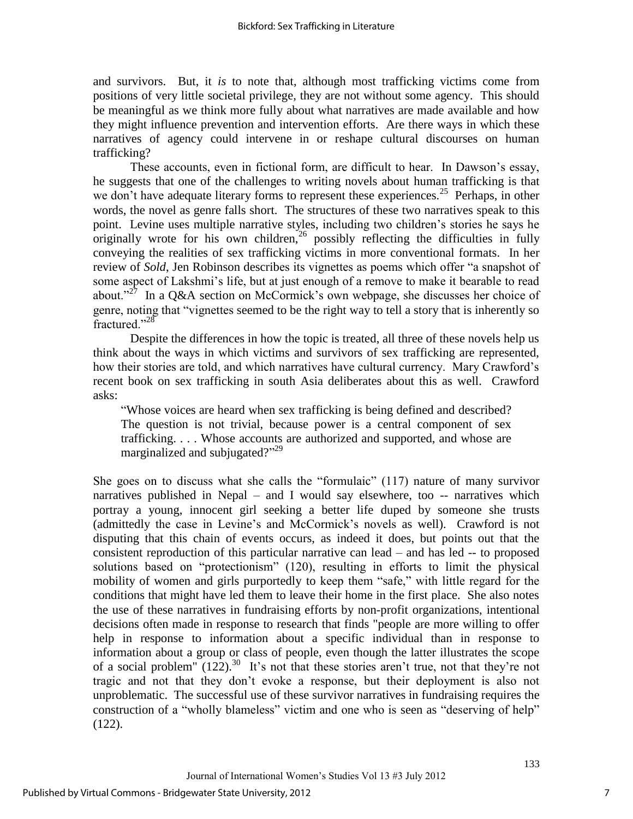and survivors. But, it *is* to note that, although most trafficking victims come from positions of very little societal privilege, they are not without some agency. This should be meaningful as we think more fully about what narratives are made available and how they might influence prevention and intervention efforts. Are there ways in which these narratives of agency could intervene in or reshape cultural discourses on human trafficking?

These accounts, even in fictional form, are difficult to hear. In Dawson's essay, he suggests that one of the challenges to writing novels about human trafficking is that we don't have adequate literary forms to represent these experiences.<sup>25</sup> Perhaps, in other words, the novel as genre falls short. The structures of these two narratives speak to this point. Levine uses multiple narrative styles, including two children's stories he says he originally wrote for his own children,<sup>26</sup> possibly reflecting the difficulties in fully conveying the realities of sex trafficking victims in more conventional formats. In her review of *Sold*, Jen Robinson describes its vignettes as poems which offer "a snapshot of some aspect of Lakshmi's life, but at just enough of a remove to make it bearable to read about."<sup>27</sup> In a Q&A section on McCormick's own webpage, she discusses her choice of genre, noting that "vignettes seemed to be the right way to tell a story that is inherently so  $frac{1}{28}$ 

Despite the differences in how the topic is treated, all three of these novels help us think about the ways in which victims and survivors of sex trafficking are represented, how their stories are told, and which narratives have cultural currency. Mary Crawford's recent book on sex trafficking in south Asia deliberates about this as well. Crawford asks:

"Whose voices are heard when sex trafficking is being defined and described? The question is not trivial, because power is a central component of sex trafficking. . . . Whose accounts are authorized and supported, and whose are marginalized and subjugated?"<sup>29</sup>

She goes on to discuss what she calls the "formulaic"  $(117)$  nature of many survivor narratives published in Nepal – and I would say elsewhere, too -- narratives which portray a young, innocent girl seeking a better life duped by someone she trusts (admittedly the case in Levine's and McCormick's novels as well). Crawford is not disputing that this chain of events occurs, as indeed it does, but points out that the consistent reproduction of this particular narrative can lead – and has led -- to proposed solutions based on "protectionism" (120), resulting in efforts to limit the physical mobility of women and girls purportedly to keep them "safe," with little regard for the conditions that might have led them to leave their home in the first place. She also notes the use of these narratives in fundraising efforts by non-profit organizations, intentional decisions often made in response to research that finds "people are more willing to offer help in response to information about a specific individual than in response to information about a group or class of people, even though the latter illustrates the scope of a social problem"  $(122)$ .<sup>30</sup> It's not that these stories aren't true, not that they're not tragic and not that they don't evoke a response, but their deployment is also not unproblematic. The successful use of these survivor narratives in fundraising requires the construction of a "wholly blameless" victim and one who is seen as "deserving of help" (122).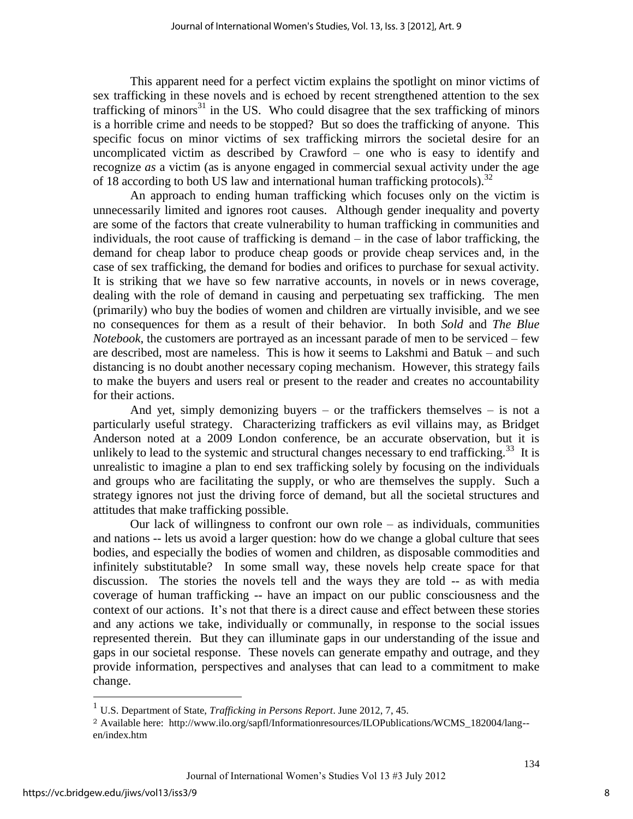This apparent need for a perfect victim explains the spotlight on minor victims of sex trafficking in these novels and is echoed by recent strengthened attention to the sex trafficking of minors<sup>31</sup> in the US. Who could disagree that the sex trafficking of minors is a horrible crime and needs to be stopped? But so does the trafficking of anyone. This specific focus on minor victims of sex trafficking mirrors the societal desire for an uncomplicated victim as described by Crawford – one who is easy to identify and recognize *as* a victim (as is anyone engaged in commercial sexual activity under the age of 18 according to both US law and international human trafficking protocols).<sup>32</sup>

 An approach to ending human trafficking which focuses only on the victim is unnecessarily limited and ignores root causes. Although gender inequality and poverty are some of the factors that create vulnerability to human trafficking in communities and individuals, the root cause of trafficking is demand – in the case of labor trafficking, the demand for cheap labor to produce cheap goods or provide cheap services and, in the case of sex trafficking, the demand for bodies and orifices to purchase for sexual activity. It is striking that we have so few narrative accounts, in novels or in news coverage, dealing with the role of demand in causing and perpetuating sex trafficking. The men (primarily) who buy the bodies of women and children are virtually invisible, and we see no consequences for them as a result of their behavior. In both *Sold* and *The Blue Notebook*, the customers are portrayed as an incessant parade of men to be serviced – few are described, most are nameless. This is how it seems to Lakshmi and Batuk – and such distancing is no doubt another necessary coping mechanism. However, this strategy fails to make the buyers and users real or present to the reader and creates no accountability for their actions.

And yet, simply demonizing buyers – or the traffickers themselves – is not a particularly useful strategy. Characterizing traffickers as evil villains may, as Bridget Anderson noted at a 2009 London conference, be an accurate observation, but it is unlikely to lead to the systemic and structural changes necessary to end trafficking.<sup>33</sup> It is unrealistic to imagine a plan to end sex trafficking solely by focusing on the individuals and groups who are facilitating the supply, or who are themselves the supply. Such a strategy ignores not just the driving force of demand, but all the societal structures and attitudes that make trafficking possible.

Our lack of willingness to confront our own role  $-$  as individuals, communities and nations -- lets us avoid a larger question: how do we change a global culture that sees bodies, and especially the bodies of women and children, as disposable commodities and infinitely substitutable? In some small way, these novels help create space for that discussion. The stories the novels tell and the ways they are told -- as with media coverage of human trafficking -- have an impact on our public consciousness and the context of our actions. It's not that there is a direct cause and effect between these stories and any actions we take, individually or communally, in response to the social issues represented therein. But they can illuminate gaps in our understanding of the issue and gaps in our societal response. These novels can generate empathy and outrage, and they provide information, perspectives and analyses that can lead to a commitment to make change.

 $\overline{a}$ 

8

134

<sup>1</sup> U.S. Department of State, *Trafficking in Persons Report*. June 2012, 7, 45.

<sup>2</sup> Available here: http://www.ilo.org/sapfl/Informationresources/ILOPublications/WCMS\_182004/lang- en/index.htm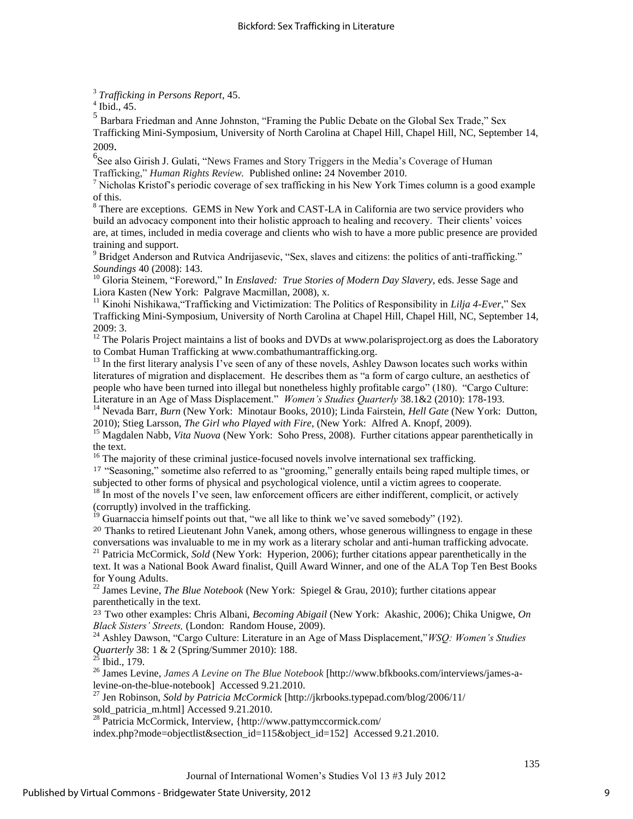3  *Trafficking in Persons Report*, 45.

 $<sup>4</sup>$  Ibid., 45.</sup>

 $<sup>5</sup>$  Barbara Friedman and Anne Johnston, "Framing the Public Debate on the Global Sex Trade," Sex</sup> Trafficking Mini-Symposium, University of North Carolina at Chapel Hill, Chapel Hill, NC, September 14, 2009.

<sup>6</sup>See also Girish J. Gulati, "News Frames and Story Triggers in the Media's Coverage of Human Trafficking,‖ *Human Rights Review.* Published online**:** 24 November 2010.

<sup>7</sup> Nicholas Kristof's periodic coverage of sex trafficking in his New York Times column is a good example of this.

<sup>8</sup> There are exceptions. GEMS in New York and CAST-LA in California are two service providers who build an advocacy component into their holistic approach to healing and recovery. Their clients' voices are, at times, included in media coverage and clients who wish to have a more public presence are provided training and support.

<sup>9</sup> Bridget Anderson and Rutvica Andrijasevic, "Sex, slaves and citizens: the politics of anti-trafficking." *Soundings* 40 (2008): 143.

<sup>10</sup> Gloria Steinem, "Foreword," In *Enslaved: True Stories of Modern Day Slavery*, eds. Jesse Sage and Liora Kasten (New York: Palgrave Macmillan, 2008), x.

<sup>11</sup> Kinohi Nishikawa, "Trafficking and Victimization: The Politics of Responsibility in *Lilja 4-Ever*," Sex Trafficking Mini-Symposium, University of North Carolina at Chapel Hill, Chapel Hill, NC, September 14, 2009: 3.

<sup>12</sup> The Polaris Project maintains a list of books and DVDs at www.polarisproject.org as does the Laboratory to Combat Human Trafficking at www.combathumantrafficking.org.

 $<sup>13</sup>$  In the first literary analysis I've seen of any of these novels, Ashley Dawson locates such works within</sup> literatures of migration and displacement. He describes them as "a form of cargo culture, an aesthetics of people who have been turned into illegal but nonetheless highly profitable cargo" (180). "Cargo Culture: Literature in an Age of Mass Displacement.‖ *Women's Studies Quarterly* 38.1&2 (2010): 178-193.

<sup>14</sup> Nevada Barr, *Burn* (New York: Minotaur Books, 2010); Linda Fairstein, *Hell Gate* (New York: Dutton, 2010); Stieg Larsson, *The Girl who Played with Fire*, (New York: Alfred A. Knopf, 2009).

<sup>15</sup> Magdalen Nabb, *Vita Nuova* (New York: Soho Press, 2008). Further citations appear parenthetically in the text.

 $16$  The majority of these criminal justice-focused novels involve international sex trafficking.

17 "Seasoning," sometime also referred to as "grooming," generally entails being raped multiple times, or subjected to other forms of physical and psychological violence, until a victim agrees to cooperate.

<sup>18</sup> In most of the novels I've seen, law enforcement officers are either indifferent, complicit, or actively (corruptly) involved in the trafficking.

 $19$  Guarnaccia himself points out that, "we all like to think we've saved somebody" (192).

<sup>20</sup> Thanks to retired Lieutenant John Vanek, among others, whose generous willingness to engage in these conversations was invaluable to me in my work as a literary scholar and anti-human trafficking advocate.

<sup>21</sup> Patricia McCormick, *Sold* (New York: Hyperion, 2006); further citations appear parenthetically in the text. It was a National Book Award finalist, Quill Award Winner, and one of the ALA Top Ten Best Books for Young Adults.

<sup>22</sup> James Levine, *The Blue Notebook* (New York: Spiegel & Grau, 2010); further citations appear parenthetically in the text.

<sup>23</sup> Two other examples: Chris Albani, *Becoming Abigail* (New York: Akashic, 2006); Chika Unigwe, *On Black Sisters' Streets,* (London: Random House, 2009).

<sup>24</sup> Ashley Dawson, "Cargo Culture: Literature in an Age of Mass Displacement," *WSQ: Women's Studies Quarterly* 38: 1 & 2 (Spring/Summer 2010): 188.

 $^{25}$  Ibid., 179.

<sup>26</sup> James Levine, *James A Levine on The Blue Notebook* [http://www.bfkbooks.com/interviews/james-alevine-on-the-blue-notebook] Accessed 9.21.2010.

<sup>27</sup> Jen Robinson, *Sold by Patricia McCormick* [http://jkrbooks.typepad.com/blog/2006/11/ sold\_patricia\_m.html] Accessed 9.21.2010.

<sup>28</sup> Patricia McCormick, Interview, {http://www.pattymccormick.com/

index.php?mode=objectlist&section\_id=115&object\_id=152] Accessed 9.21.2010.